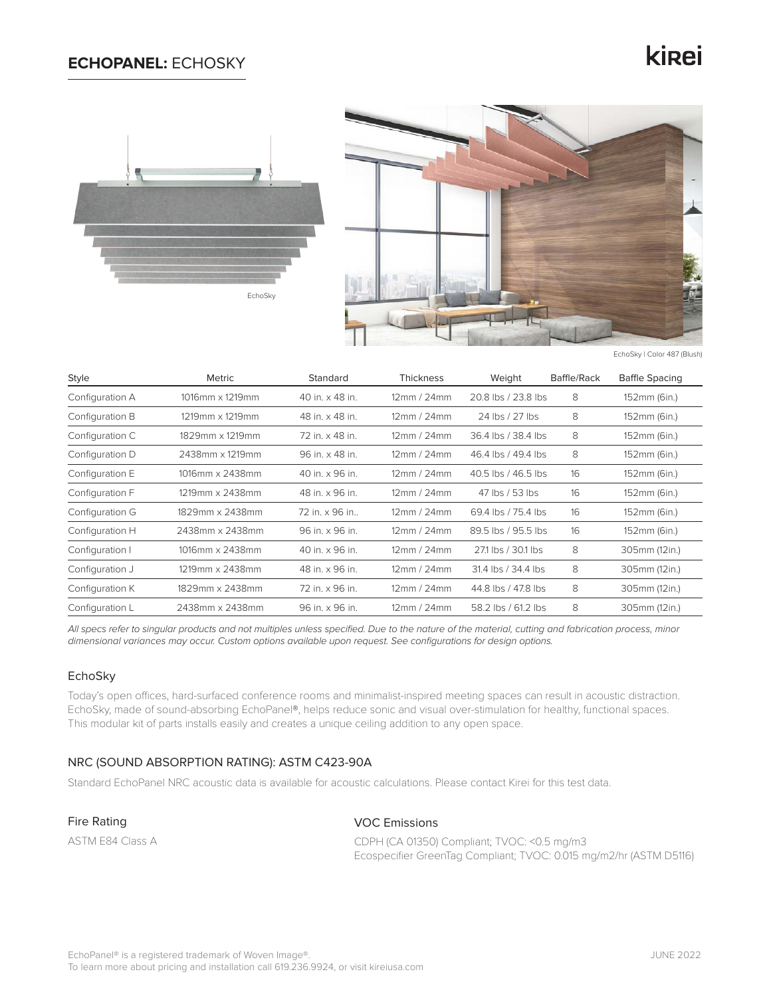## **ECHOPANEL:** ECHOSKY

# kinei





EchoSky | Color 487 (Blush)

| <b>Style</b>    | Metric          | Standard        | <b>Thickness</b> | Weight              | Baffle/Rack | <b>Baffle Spacing</b> |
|-----------------|-----------------|-----------------|------------------|---------------------|-------------|-----------------------|
| Configuration A | 1016mm x 1219mm | 40 in. x 48 in. | 12mm/24mm        | 20.8 lbs / 23.8 lbs | 8           | 152mm (6in.)          |
| Configuration B | 1219mm x 1219mm | 48 in. x 48 in. | 12mm/24mm        | 24 lbs / 27 lbs     | 8           | 152mm (6in.)          |
| Configuration C | 1829mm x 1219mm | 72 in. x 48 in. | 12mm/24mm        | 36.4 lbs / 38.4 lbs | 8           | 152mm (6in.)          |
| Configuration D | 2438mm x 1219mm | 96 in. x 48 in. | 12mm/24mm        | 46.4 lbs / 49.4 lbs | 8           | 152mm (6in.)          |
| Configuration E | 1016mm x 2438mm | 40 in. x 96 in. | 12mm/24mm        | 40.5 lbs / 46.5 lbs | 16          | 152mm (6in.)          |
| Configuration F | 1219mm x 2438mm | 48 in. x 96 in. | 12mm/24mm        | 47 lbs / 53 lbs     | 16          | 152mm (6in.)          |
| Configuration G | 1829mm x 2438mm | 72 in. x 96 in  | 12mm/24mm        | 69.4 lbs / 75.4 lbs | 16          | 152mm (6in.)          |
| Configuration H | 2438mm x 2438mm | 96 in. x 96 in. | 12mm/24mm        | 89.5 lbs / 95.5 lbs | 16          | 152mm (6in.)          |
| Configuration I | 1016mm x 2438mm | 40 in. x 96 in. | 12mm/24mm        | 271 lbs / 30.1 lbs  | 8           | 305mm (12in.)         |
| Configuration J | 1219mm x 2438mm | 48 in. x 96 in. | 12mm / 24mm      | 31.4 lbs / 34.4 lbs | 8           | 305mm (12in.)         |
| Configuration K | 1829mm x 2438mm | 72 in. x 96 in. | 12mm/24mm        | 44.8 lbs / 47.8 lbs | 8           | 305mm (12in.)         |
| Configuration L | 2438mm x 2438mm | 96 in. x 96 in. | 12mm/24mm        | 58.2 lbs / 61.2 lbs | 8           | 305mm (12in.)         |

*All specs refer to singular products and not multiples unless specified. Due to the nature of the material, cutting and fabrication process, minor dimensional variances may occur. Custom options available upon request. See configurations for design options.*

### EchoSky

Today's open offices, hard-surfaced conference rooms and minimalist-inspired meeting spaces can result in acoustic distraction. EchoSky, made of sound-absorbing EchoPanel®, helps reduce sonic and visual over-stimulation for healthy, functional spaces. This modular kit of parts installs easily and creates a unique ceiling addition to any open space.

## NRC (SOUND ABSORPTION RATING): ASTM C423-90A

Standard EchoPanel NRC acoustic data is available for acoustic calculations. Please contact Kirei for this test data.

Fire Rating

ASTM E84 Class A

### VOC Emissions

CDPH (CA 01350) Compliant; TVOC: <0.5 mg/m3 Ecospecifier GreenTag Compliant; TVOC: 0.015 mg/m2/hr (ASTM D5116)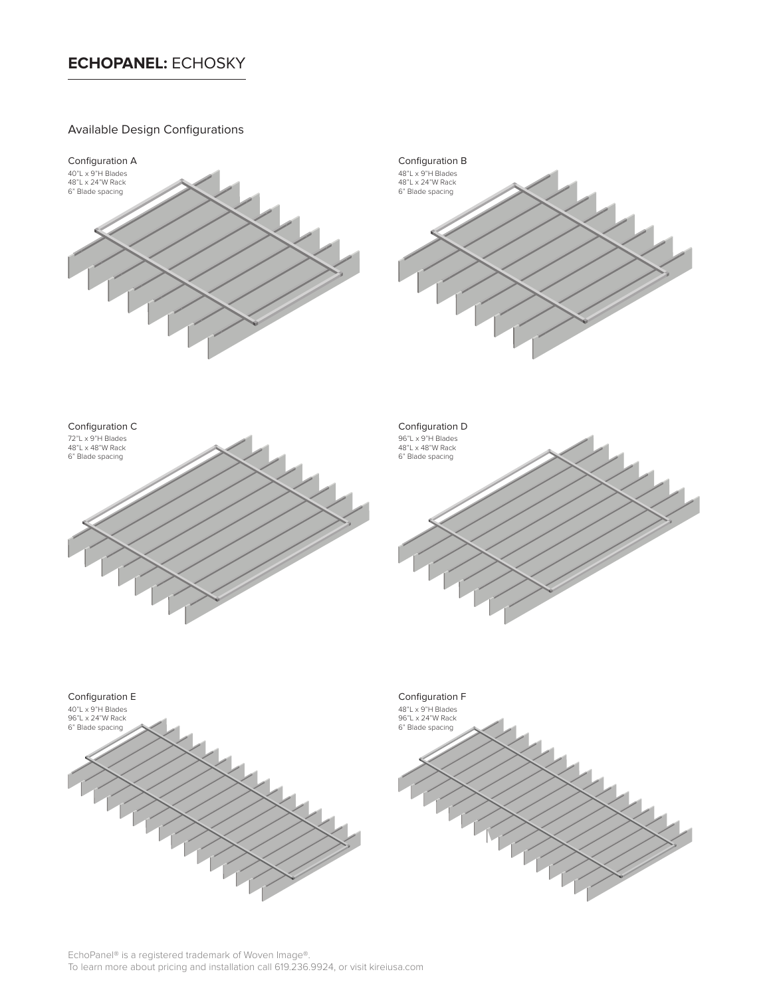# **ECHOPANEL:** ECHOSKY

## Available Design Configurations

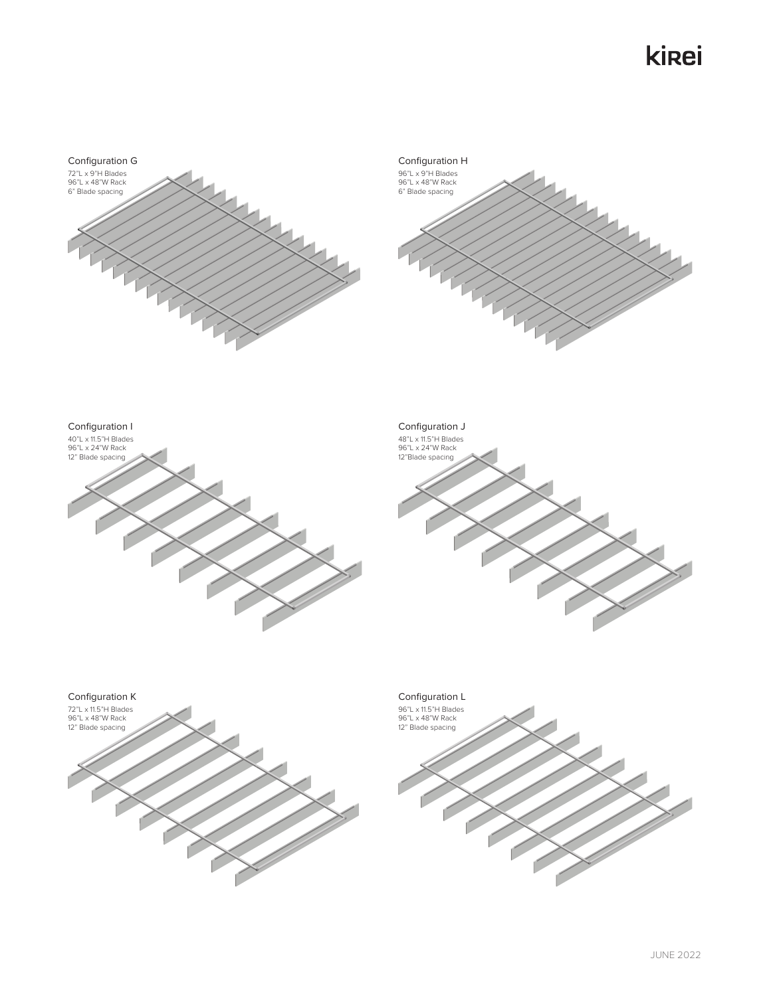# kirei







### Configuration J